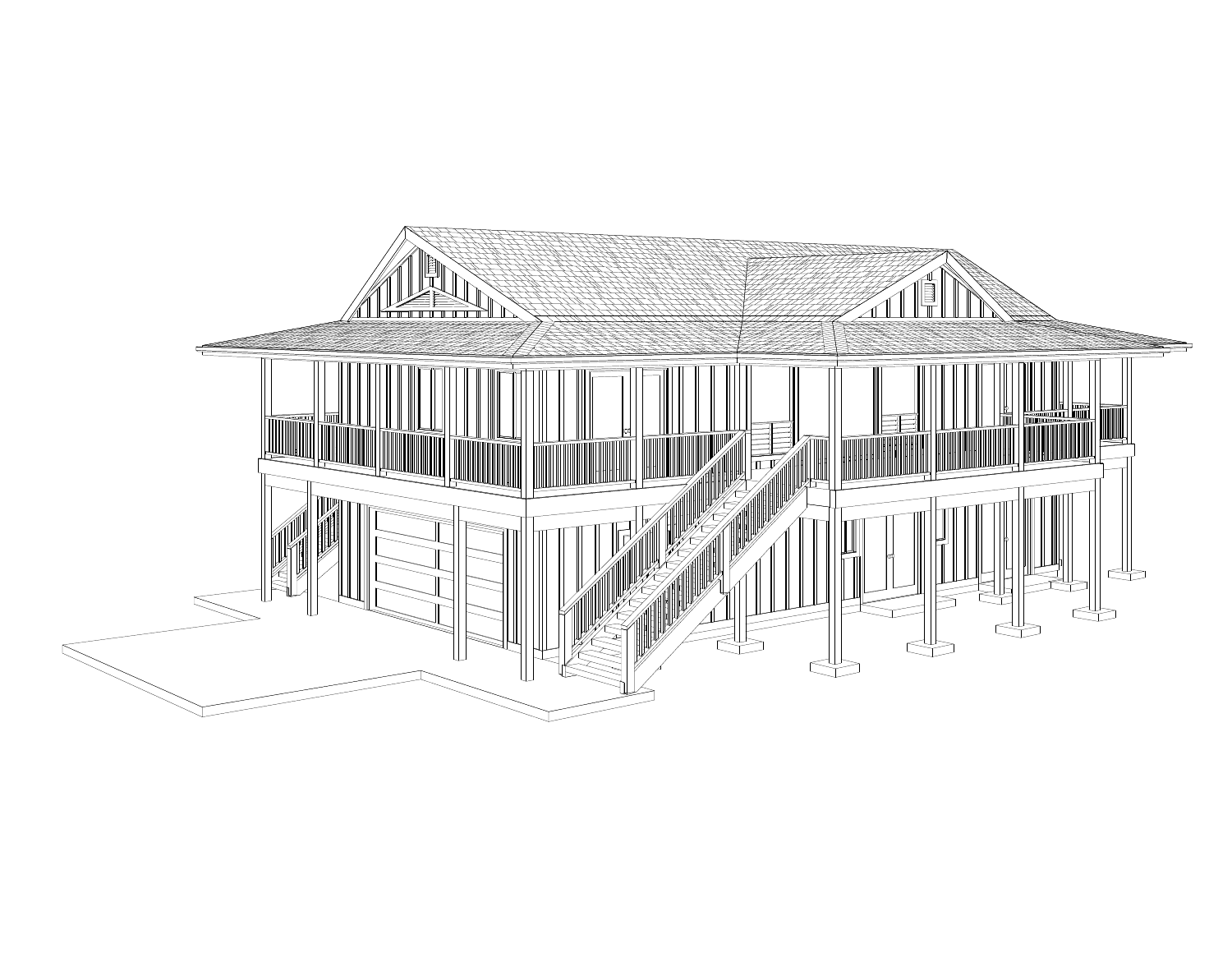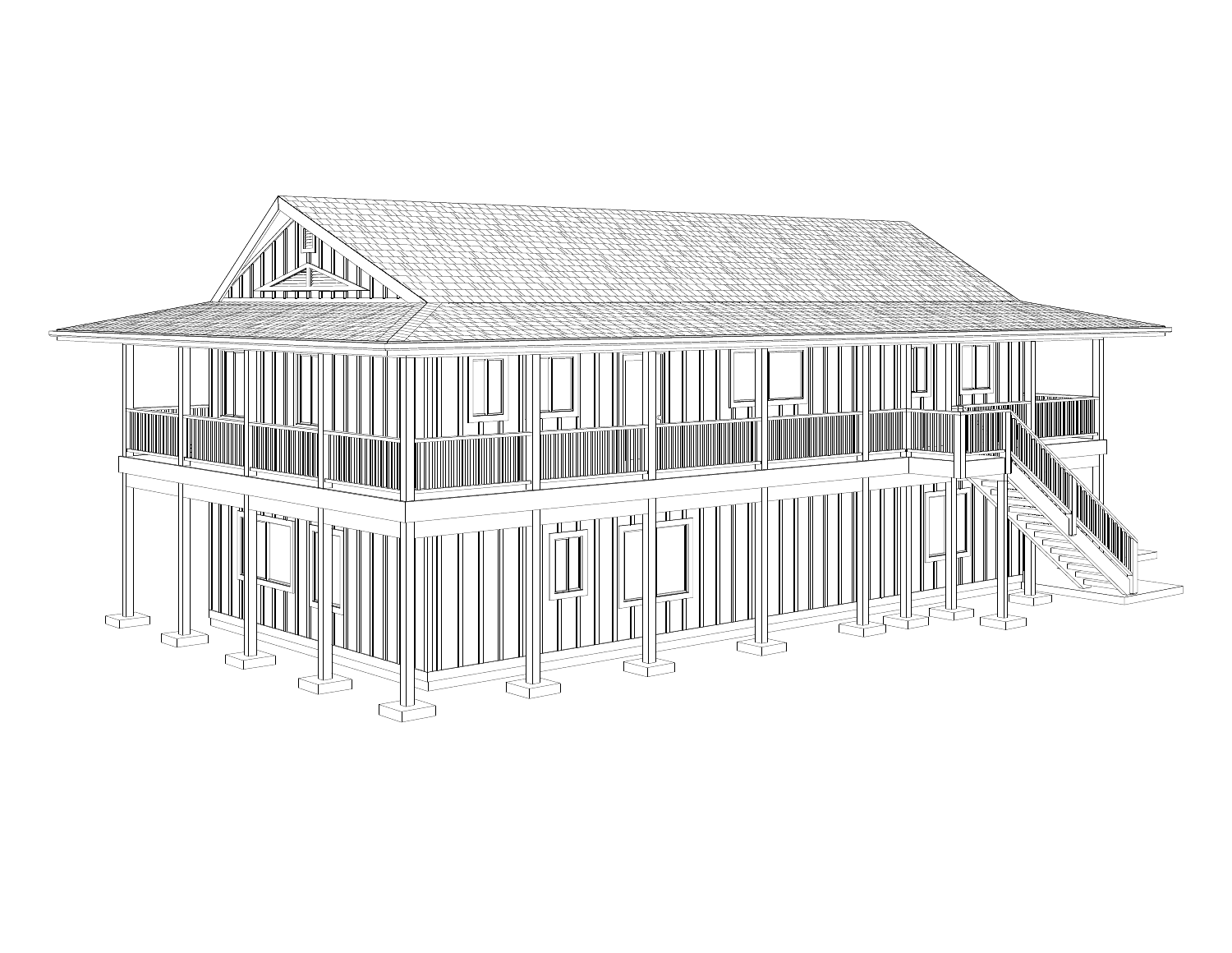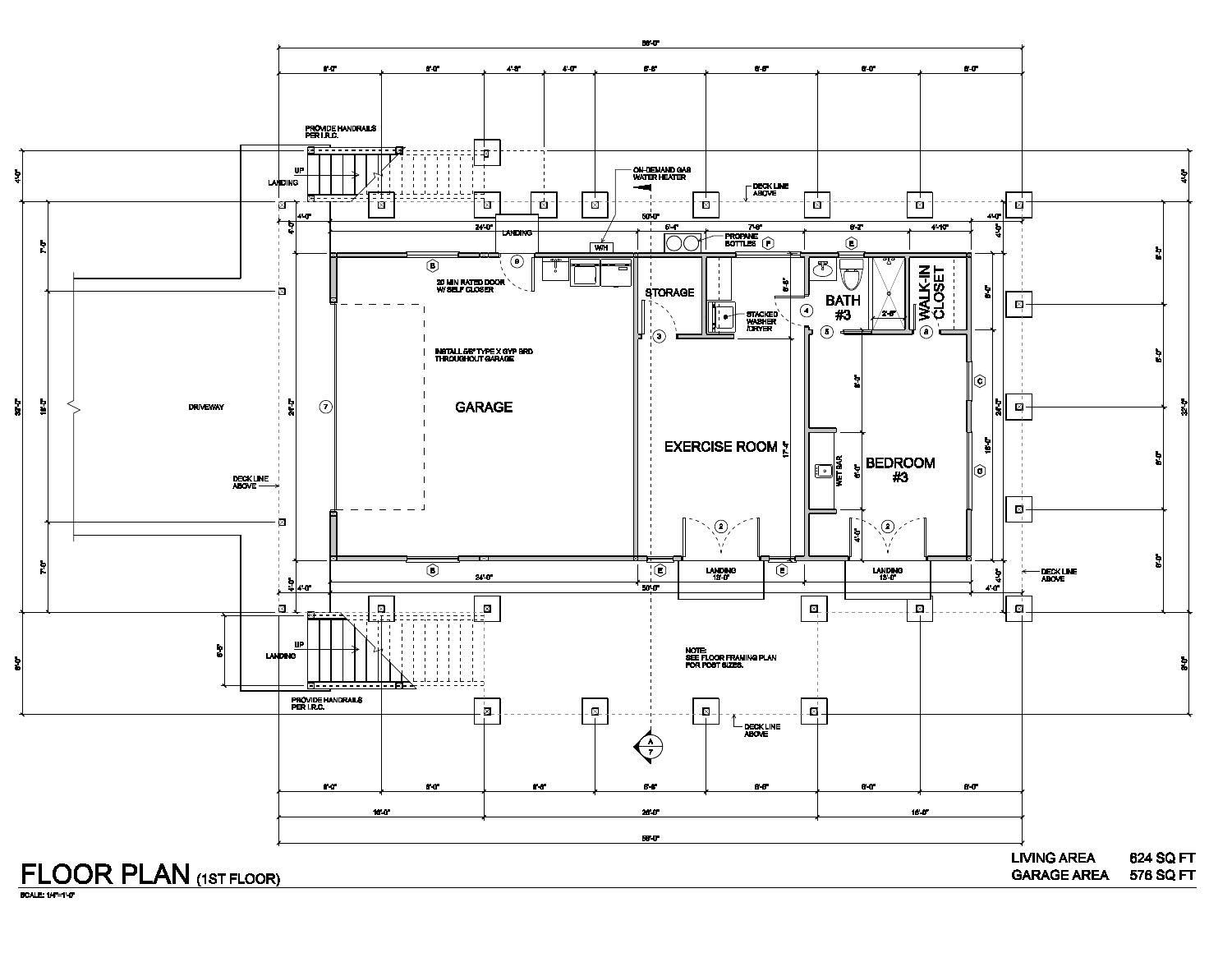

SCALE: 1/4"=1'-0"